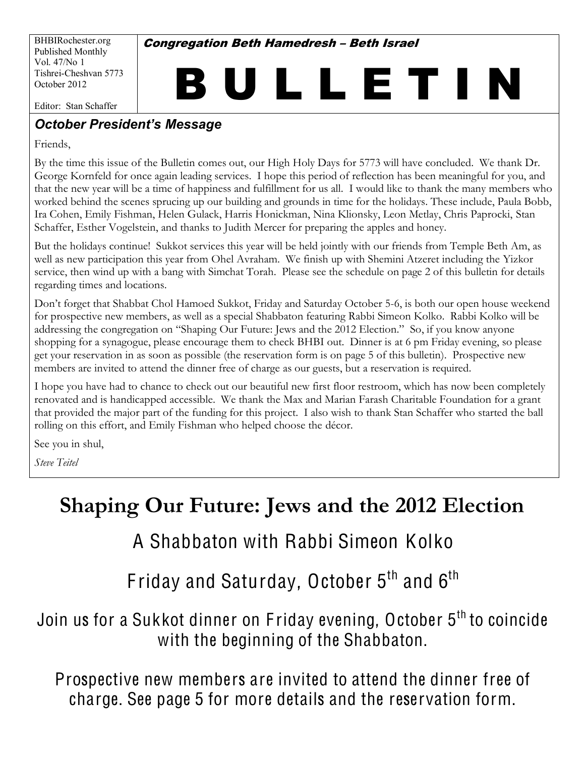BHBIRochester.org Published Monthly Vol. 47/No 1 Tishrei-Cheshvan 5773 October 2012

**Congregation Beth Hamedresh - Beth Israel** 

B U L L E T I N

Editor: Stan Schaffer

#### **October President's Message**

Friends,

By the time this issue of the Bulletin comes out, our High Holy Days for 5773 will have concluded. We thank Dr. George Kornfeld for once again leading services. I hope this period of reflection has been meaningful for you, and that the new year will be a time of happiness and fulfillment for us all. I would like to thank the many members who worked behind the scenes sprucing up our building and grounds in time for the holidays. These include, Paula Bobb, Ira Cohen, Emily Fishman, Helen Gulack, Harris Honickman, Nina Klionsky, Leon Metlay, Chris Paprocki, Stan Schaffer, Esther Vogelstein, and thanks to Judith Mercer for preparing the apples and honey.

But the holidays continue! Sukkot services this year will be held jointly with our friends from Temple Beth Am, as well as new participation this year from Ohel Avraham. We finish up with Shemini Atzeret including the Yizkor service, then wind up with a bang with Simchat Torah. Please see the schedule on page 2 of this bulletin for details regarding times and locations.

Don't forget that Shabbat Chol Hamoed Sukkot, Friday and Saturday October 5-6, is both our open house weekend for prospective new members, as well as a special Shabbaton featuring Rabbi Simeon Kolko. Rabbi Kolko will be addressing the congregation on "Shaping Our Future: Jews and the 2012 Election." So, if you know anyone shopping for a synagogue, please encourage them to check BHBI out. Dinner is at 6 pm Friday evening, so please get your reservation in as soon as possible (the reservation form is on page 5 of this bulletin). Prospective new members are invited to attend the dinner free of charge as our guests, but a reservation is required.

I hope you have had to chance to check out our beautiful new first floor restroom, which has now been completely renovated and is handicapped accessible. We thank the Max and Marian Farash Charitable Foundation for a grant that provided the major part of the funding for this project. I also wish to thank Stan Schaffer who started the ball rolling on this effort, and Emily Fishman who helped choose the décor.

See you in shul,

*Steve Teitel*

# **Shaping Our Future: Jews and the 2012 Election**

# A Shabbaton with Rabbi Simeon Kolko

Friday and Saturday, October  $5<sup>th</sup>$  and  $6<sup>th</sup>$ 

Join us for a Sukkot dinner on Friday evening, October 5<sup>th</sup> to coincide with the beginning of the Shabbaton.

Prospective new members are invited to attend the dinner free of charge. See page 5 for more details and the reservation form.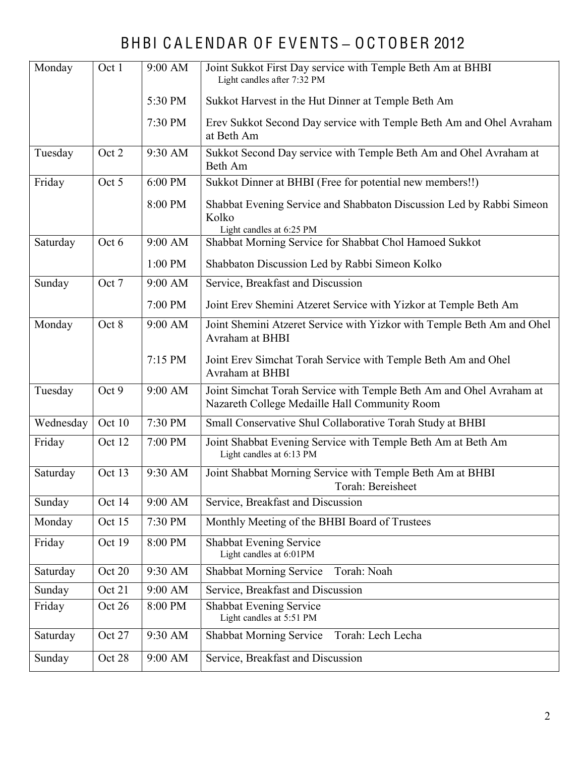## BHBI CALENDAR OF EVENTS - OCTOBER 2012

| Monday    | Oct 1  | 9:00 AM | Joint Sukkot First Day service with Temple Beth Am at BHBI<br>Light candles after 7:32 PM                            |  |  |  |
|-----------|--------|---------|----------------------------------------------------------------------------------------------------------------------|--|--|--|
|           |        | 5:30 PM | Sukkot Harvest in the Hut Dinner at Temple Beth Am                                                                   |  |  |  |
|           |        | 7:30 PM | Erev Sukkot Second Day service with Temple Beth Am and Ohel Avraham<br>at Beth Am                                    |  |  |  |
| Tuesday   | Oct 2  | 9:30 AM | Sukkot Second Day service with Temple Beth Am and Ohel Avraham at<br>Beth Am                                         |  |  |  |
| Friday    | Oct 5  | 6:00 PM | Sukkot Dinner at BHBI (Free for potential new members!!)                                                             |  |  |  |
|           |        | 8:00 PM | Shabbat Evening Service and Shabbaton Discussion Led by Rabbi Simeon<br>Kolko<br>Light candles at 6:25 PM            |  |  |  |
| Saturday  | Oct 6  | 9:00 AM | Shabbat Morning Service for Shabbat Chol Hamoed Sukkot                                                               |  |  |  |
|           |        | 1:00 PM | Shabbaton Discussion Led by Rabbi Simeon Kolko                                                                       |  |  |  |
| Sunday    | Oct 7  | 9:00 AM | Service, Breakfast and Discussion                                                                                    |  |  |  |
|           |        | 7:00 PM | Joint Erev Shemini Atzeret Service with Yizkor at Temple Beth Am                                                     |  |  |  |
| Monday    | Oct 8  | 9:00 AM | Joint Shemini Atzeret Service with Yizkor with Temple Beth Am and Ohel<br>Avraham at BHBI                            |  |  |  |
|           |        | 7:15 PM | Joint Erev Simchat Torah Service with Temple Beth Am and Ohel<br>Avraham at BHBI                                     |  |  |  |
| Tuesday   | Oct 9  | 9:00 AM | Joint Simchat Torah Service with Temple Beth Am and Ohel Avraham at<br>Nazareth College Medaille Hall Community Room |  |  |  |
| Wednesday | Oct 10 | 7:30 PM | Small Conservative Shul Collaborative Torah Study at BHBI                                                            |  |  |  |
| Friday    | Oct 12 | 7:00 PM | Joint Shabbat Evening Service with Temple Beth Am at Beth Am<br>Light candles at 6:13 PM                             |  |  |  |
| Saturday  | Oct 13 | 9:30 AM | Joint Shabbat Morning Service with Temple Beth Am at BHBI<br>Torah: Bereisheet                                       |  |  |  |
| Sunday    | Oct 14 | 9:00 AM | Service, Breakfast and Discussion                                                                                    |  |  |  |
| Monday    | Oct 15 | 7:30 PM | Monthly Meeting of the BHBI Board of Trustees                                                                        |  |  |  |
| Friday    | Oct 19 | 8:00 PM | <b>Shabbat Evening Service</b><br>Light candles at 6:01PM                                                            |  |  |  |
| Saturday  | Oct 20 | 9:30 AM | <b>Shabbat Morning Service</b><br>Torah: Noah                                                                        |  |  |  |
| Sunday    | Oct 21 | 9:00 AM | Service, Breakfast and Discussion                                                                                    |  |  |  |
| Friday    | Oct 26 | 8:00 PM | <b>Shabbat Evening Service</b><br>Light candles at 5:51 PM                                                           |  |  |  |
| Saturday  | Oct 27 | 9:30 AM | Shabbat Morning Service<br>Torah: Lech Lecha                                                                         |  |  |  |
| Sunday    | Oct 28 | 9:00 AM | Service, Breakfast and Discussion                                                                                    |  |  |  |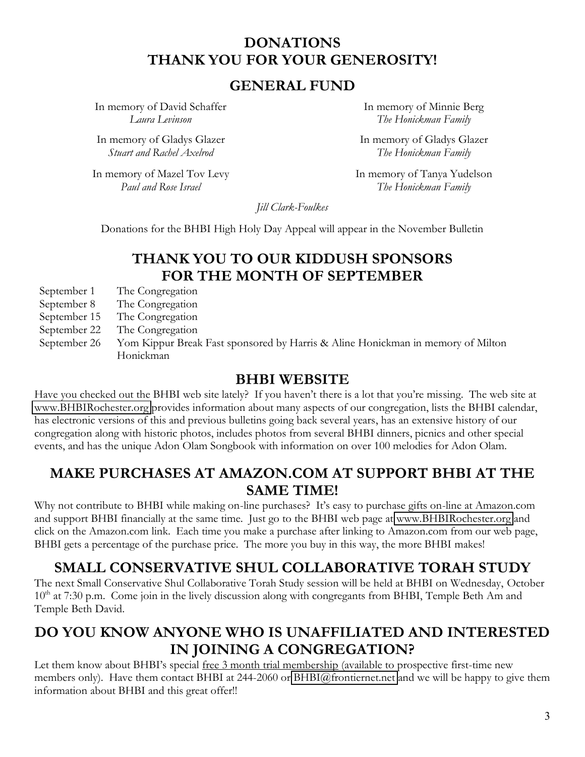#### **DONATIONS THANK YOU FOR YOUR GENEROSITY!**

#### **GENERAL FUND**

In memory of David Schaffer *Laura Levinson*

In memory of Gladys Glazer *Stuart and Rachel Axelrod*

In memory of Mazel Tov Levy *Paul and Rose Israel*

In memory of Minnie Berg *The Honickman Family*

In memory of Gladys Glazer *The Honickman Family*

In memory of Tanya Yudelson *The Honickman Family*

*Jill Clark-Foulkes*

Donations for the BHBI High Holy Day Appeal will appear in the November Bulletin

#### **THANK YOU TO OUR KIDDUSH SPONSORS FOR THE MONTH OF SEPTEMBER**

September 1 The Congregation

- September 8 The Congregation
- September 15 The Congregation
- September 22 The Congregation
- September 26 Yom Kippur Break Fast sponsored by Harris & Aline Honickman in memory of Milton Honickman

#### **BHBI WEBSITE**

Have you checked out the BHBI web site lately? If you haven't there is a lot that you're missing. The web site at [www.BHBIRochester.org](http://www.bhbirochester.org/) provides information about many aspects of our congregation, lists the BHBI calendar, has electronic versions of this and previous bulletins going back several years, has an extensive history of our congregation along with historic photos, includes photos from several BHBI dinners, picnics and other special events, and has the unique Adon Olam Songbook with information on over 100 melodies for Adon Olam.

#### **MAKE PURCHASES AT AMAZON.COM AT SUPPORT BHBI AT THE SAME TIME!**

Why not contribute to BHBI while making on-line purchases? It's easy to purchase gifts on-line at Amazon.com and support BHBI financially at the same time. Just go to the BHBI web page at [www.BHBIRochester.org](http://www.bhbirochester.org/) and click on the Amazon.com link. Each time you make a purchase after linking to Amazon.com from our web page, BHBI gets a percentage of the purchase price. The more you buy in this way, the more BHBI makes!

#### **SMALL CONSERVATIVE SHUL COLLABORATIVE TORAH STUDY**

The next Small Conservative Shul Collaborative Torah Study session will be held at BHBI on Wednesday, October  $10<sup>th</sup>$  at 7:30 p.m. Come join in the lively discussion along with congregants from BHBI, Temple Beth Am and Temple Beth David.

### **DO YOU KNOW ANYONE WHO IS UNAFFILIATED AND INTERESTED IN JOINING A CONGREGATION?**

Let them know about BHBI's special free 3 month trial membership (available to prospective first-time new members only). Have them contact BHBI at 244-2060 or [BHBI@frontiernet.net](mailto:BHBI@frontiernet.net) and we will be happy to give them information about BHBI and this great offer!!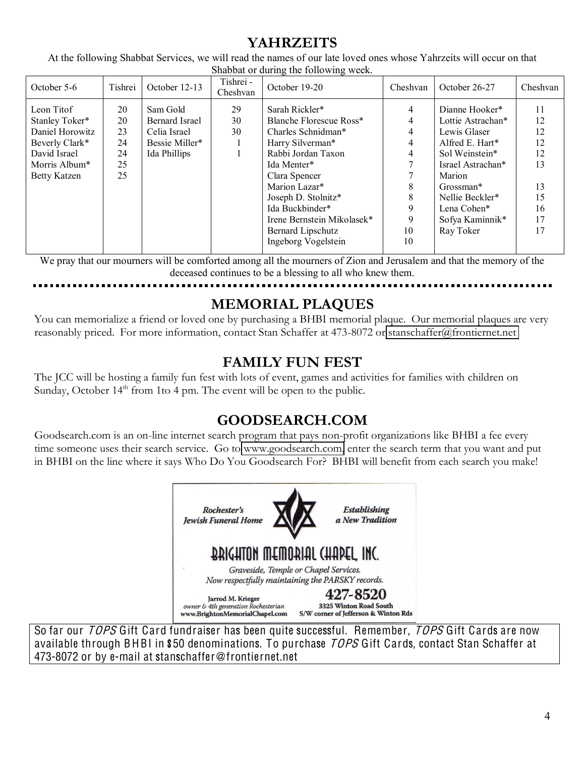### **YAHRZEITS**

At the following Shabbat Services, we will read the names of our late loved ones whose Yahrzeits will occur on that Shabbat or during the following week.

| October 5-6                                                                                                        | Tishrei                                | October 12-13                                                                       | Tishrei -<br>Cheshvan | October 19-20                                                                                                                                                                                                                                           | Cheshvan                                   | October 26-27                                                                                                                                                                                          | Cheshvan                                                       |
|--------------------------------------------------------------------------------------------------------------------|----------------------------------------|-------------------------------------------------------------------------------------|-----------------------|---------------------------------------------------------------------------------------------------------------------------------------------------------------------------------------------------------------------------------------------------------|--------------------------------------------|--------------------------------------------------------------------------------------------------------------------------------------------------------------------------------------------------------|----------------------------------------------------------------|
| Leon Titof<br>Stanley Toker*<br>Daniel Horowitz<br>Beverly Clark*<br>David Israel<br>Morris Album*<br>Betty Katzen | 20<br>20<br>23<br>24<br>24<br>25<br>25 | Sam Gold<br><b>Bernard Israel</b><br>Celia Israel<br>Bessie Miller*<br>Ida Phillips | 29<br>30<br>30        | Sarah Rickler*<br>Blanche Florescue Ross*<br>Charles Schnidman*<br>Harry Silverman*<br>Rabbi Jordan Taxon<br>Ida Menter*<br>Clara Spencer<br>Marion Lazar*<br>Joseph D. Stolnitz*<br>Ida Buckbinder*<br>Irene Bernstein Mikolasek*<br>Bernard Lipschutz | 4<br>4<br>4<br>4<br>4<br>8<br>8<br>9<br>10 | Dianne Hooker*<br>Lottie Astrachan*<br>Lewis Glaser<br>Alfred E. Hart*<br>Sol Weinstein*<br>Israel Astrachan*<br>Marion<br>Grossman*<br>Nellie Beckler*<br>Lena Cohen*<br>Sofya Kaminnik*<br>Ray Toker | 11<br>12<br>12<br>12<br>12<br>13<br>13<br>15<br>16<br>17<br>17 |
|                                                                                                                    |                                        |                                                                                     |                       | Ingeborg Vogelstein                                                                                                                                                                                                                                     | 10                                         |                                                                                                                                                                                                        |                                                                |

We pray that our mourners will be comforted among all the mourners of Zion and Jerusalem and that the memory of the deceased continues to be a blessing to all who knew them.

## **MEMORIAL PLAQUES**

You can memorialize a friend or loved one by purchasing a BHBI memorial plaque. Our memorial plaques are very reasonably priced. For more information, contact Stan Schaffer at 473-8072 or [stanschaffer@frontiernet.net](mailto:stanschaffer@frontiernet.net)

## **FAMILY FUN FEST**

The JCC will be hosting a family fun fest with lots of event, games and activities for families with children on Sunday, October  $14<sup>th</sup>$  from 1to 4 pm. The event will be open to the public.

## **GOODSEARCH.COM**

Goodsearch.com is an on-line internet search program that pays non-profit organizations like BHBI a fee every time someone uses their search service. Go to [www.goodsearch.com,](http://www.goodsearch.com/) enter the search term that you want and put in BHBI on the line where it says Who Do You Goodsearch For? BHBI will benefit from each search you make!



So far our *TOPS* Gift Card fundraiser has been quite successful. Remember, *TOPS* Gift Cards are now available through BHBI in \$50 denominations. To purchase TOPS Gift Cards, contact Stan Schaffer at 473-8072 or by e-mail at stanschaffer@frontiernet.net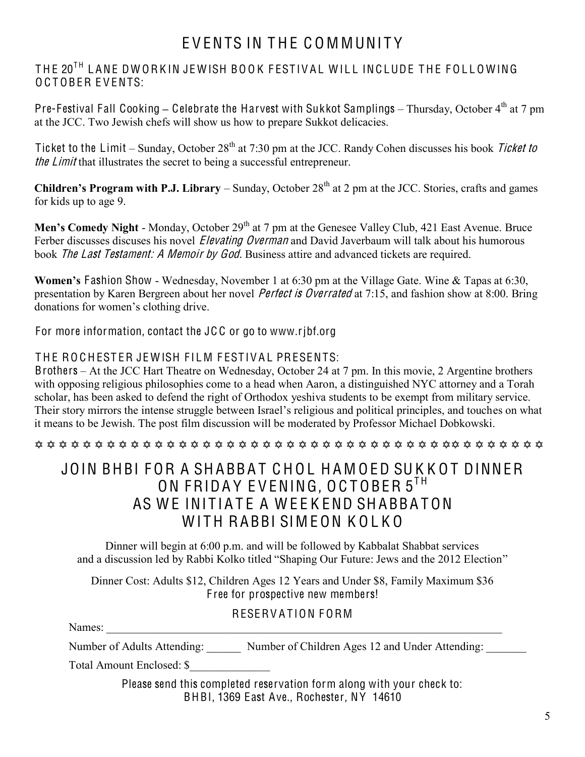## EVENTS IN THE COMMUNITY

THE 20<sup>TH</sup> LANE DWORKIN JEWISH BOOK FESTIVAL WILL INCLUDE THE FOLLOWING OCTOBER EVENTS:

Pre-Festival Fall Cooking - Celebrate the Harvest with Sukkot Samplings - Thursday, October 4<sup>th</sup> at 7 pm at the JCC. Two Jewish chefs will show us how to prepare Sukkot delicacies.

Ticket to the Limit  $-$  Sunday, October 28<sup>th</sup> at 7:30 pm at the JCC. Randy Cohen discusses his book *Ticket to* the Limit that illustrates the secret to being a successful entrepreneur.

**Children's Program with P.J. Library** – Sunday, October 28<sup>th</sup> at 2 pm at the JCC. Stories, crafts and games for kids up to age 9.

Men's Comedy Night - Monday, October 29<sup>th</sup> at 7 pm at the Genesee Valley Club, 421 East Avenue. Bruce Ferber discusses discuses his novel *Elevating Overman* and David Javerbaum will talk about his humorous book *The Last Testament: A Memoir by God.* Business attire and advanced tickets are required.

**Women's Fashion Show - Wednesday, November 1 at 6:30 pm at the Village Gate. Wine & Tapas at 6:30,** presentation by Karen Bergreen about her novel *Perfect is Overrated* at 7:15, and fashion show at 8:00. Bring donations for women's clothing drive.

For more information, contact the JC C or go to www.rjbf.org

#### THE ROCHESTER JEWISH FILM FESTIVAL PRESENTS:

Brothers – At the JCC Hart Theatre on Wednesday, October 24 at 7 pm. In this movie, 2 Argentine brothers with opposing religious philosophies come to a head when Aaron, a distinguished NYC attorney and a Torah scholar, has been asked to defend the right of Orthodox yeshiva students to be exempt from military service. Their story mirrors the intense struggle between Israel's religious and political principles, and touches on what it means to be Jewish. The post film discussion will be moderated by Professor Michael Dobkowski.

@ @ @ @ @ @ @ @ @ @ @ @ @ @ @ @ @ @ @ @ @ @ @ @ @ @ @ @ @ @ @ @ @ @ @@ @ @ @ @ @ @ @

### JOIN BHBI FOR A SHABBAT CHOL HAMOED SUKKOT DINNER ON FRIDAY EVENING, OCTOBER 5TH AS WE INITIATE A WEEKEND SHABBATON WITH RABBI SIMEON KOLKO

Dinner will begin at 6:00 p.m. and will be followed by Kabbalat Shabbat services and a discussion led by Rabbi Kolko titled "Shaping Our Future: Jews and the 2012 Election"

Dinner Cost: Adults \$12, Children Ages 12 Years and Under \$8, Family Maximum \$36 F ree for prospective new members!

#### RESERVATION FORM

Names: 2008. 2008. 2008. 2008. 2008. 2008. 2008. 2008. 2008. 2008. 2008. 2008. 2008. 2008. 2008. 2008. 2008. 2008. 2008. 2008. 2008. 2008. 2008. 2008. 2008. 2008. 2008. 2008. 2008. 2008. 2008. 2008. 2008. 2008. 2008. 2008.

Number of Adults Attending: Number of Children Ages 12 and Under Attending:

Total Amount Enclosed: \$\_\_\_\_\_\_\_\_\_\_\_\_\_\_

Please send this completed reservation form along with your check to: BHBI, 1369 East Ave., Rochester, NY 14610